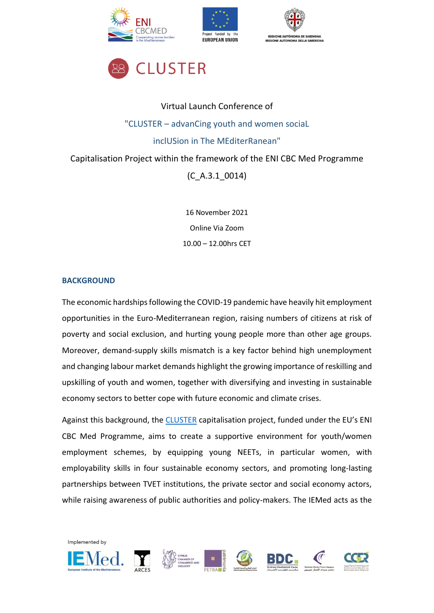







# Virtual Launch Conference of "CLUSTER – advanCing youth and women sociaL inclUSion in The MEditerRanean" Capitalisation Project within the framework of the ENI CBC Med Programme

(C\_A.3.1\_0014)

16 November 2021 Online Via Zoom 10.00 – 12.00hrs CET

### **BACKGROUND**

The economic hardships following the COVID-19 pandemic have heavily hit employment opportunities in the Euro-Mediterranean region, raising numbers of citizens at risk of poverty and social exclusion, and hurting young people more than other age groups. Moreover, demand-supply skills mismatch is a key factor behind high unemployment and changing labour market demands highlight the growing importance of reskilling and upskilling of youth and women, together with diversifying and investing in sustainable economy sectors to better cope with future economic and climate crises.

Against this background, the [CLUSTER](https://www.iemed.org/projects/cluster-advancing-youth-and-women-social-inclusion-in-the-mediterranean/) capitalisation project, funded under the EU's ENI CBC Med Programme, aims to create a supportive environment for youth/women employment schemes, by equipping young NEETs, in particular women, with employability skills in four sustainable economy sectors, and promoting long-lasting partnerships between TVET institutions, the private sector and social economy actors, while raising awareness of public authorities and policy-makers. The IEMed acts as the

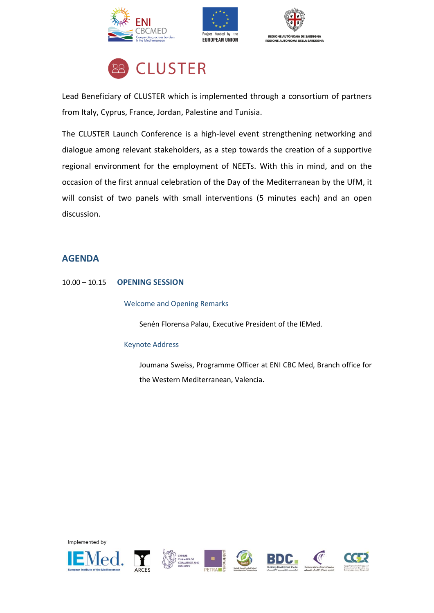







Lead Beneficiary of CLUSTER which is implemented through a consortium of partners from Italy, Cyprus, France, Jordan, Palestine and Tunisia.

The CLUSTER Launch Conference is a high-level event strengthening networking and dialogue among relevant stakeholders, as a step towards the creation of a supportive regional environment for the employment of NEETs. With this in mind, and on the occasion of the first annual celebration of the Day of the Mediterranean by the UfM, it will consist of two panels with small interventions (5 minutes each) and an open discussion.

# **AGENDA**

## 10.00 – 10.15 **OPENING SESSION**

Welcome and Opening Remarks

Senén Florensa Palau, Executive President of the IEMed.

#### Keynote Address

Joumana Sweiss, Programme Officer at ENI CBC Med, Branch office for the Western Mediterranean, Valencia.













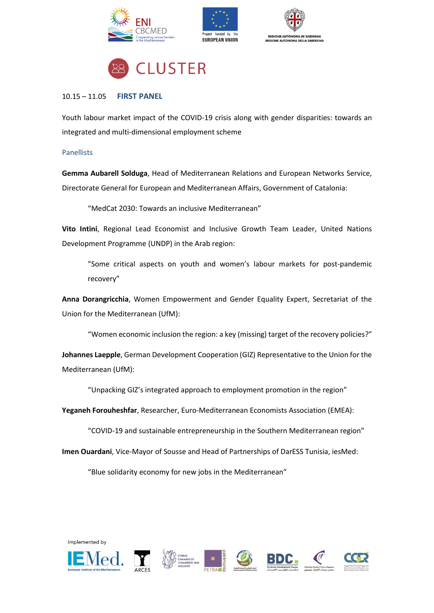







#### 10.15 – 11.05 **FIRST PANEL**

Youth labour market impact of the COVID-19 crisis along with gender disparities: towards an integrated and multi-dimensional employment scheme

#### **Panellists**

**Gemma Aubarell Solduga**, Head of Mediterranean Relations and European Networks Service, Directorate General for European and Mediterranean Affairs, Government of Catalonia:

"MedCat 2030: Towards an inclusive Mediterranean"

**Vito Intini**, Regional Lead Economist and Inclusive Growth Team Leader, United Nations Development Programme (UNDP) in the Arab region:

"Some critical aspects on youth and women's labour markets for post-pandemic recovery"

**Anna Dorangricchia**, Women Empowerment and Gender Equality Expert, Secretariat of the Union for the Mediterranean (UfM):

"Women economic inclusion the region: a key (missing) target of the recovery policies?"

**Johannes Laepple**, German Development Cooperation (GIZ) Representative to the Union for the Mediterranean (UfM):

"Unpacking GIZ's integrated approach to employment promotion in the region"

**Yeganeh Forouheshfar**, Researcher, Euro-Mediterranean Economists Association (EMEA):

"COVID-19 and sustainable entrepreneurship in the Southern Mediterranean region"

**Imen Ouardani**, Vice-Mayor of Sousse and Head of Partnerships of DarESS Tunisia, iesMed:

"Blue solidarity economy for new jobs in the Mediterranean"

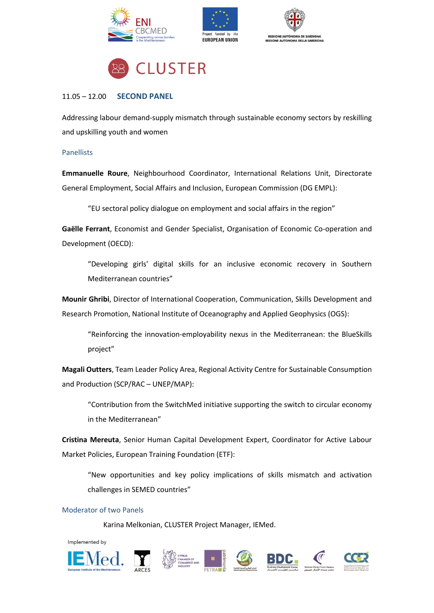







#### 11.05 – 12.00 **SECOND PANEL**

Addressing labour demand-supply mismatch through sustainable economy sectors by reskilling and upskilling youth and women

#### Panellists

**Emmanuelle Roure**, Neighbourhood Coordinator, International Relations Unit, Directorate General Employment, Social Affairs and Inclusion, European Commission (DG EMPL):

"EU sectoral policy dialogue on employment and social affairs in the region"

**Gaëlle Ferrant**, Economist and Gender Specialist, Organisation of Economic Co-operation and Development (OECD):

"Developing girls' digital skills for an inclusive economic recovery in Southern Mediterranean countries"

**Mounir Ghribi**, Director of International Cooperation, Communication, Skills Development and Research Promotion, National Institute of Oceanography and Applied Geophysics (OGS):

"Reinforcing the innovation-employability nexus in the Mediterranean: the BlueSkills project"

**Magali Outters**, Team Leader Policy Area, Regional Activity Centre for Sustainable Consumption and Production (SCP/RAC – UNEP/MAP):

"Contribution from the SwitchMed initiative supporting the switch to circular economy in the Mediterranean"

**Cristina Mereuta**, Senior Human Capital Development Expert, Coordinator for Active Labour Market Policies, European Training Foundation (ETF):

"New opportunities and key policy implications of skills mismatch and activation challenges in SEMED countries"

#### Moderator of two Panels

Karina Melkonian, CLUSTER Project Manager, IEMed.











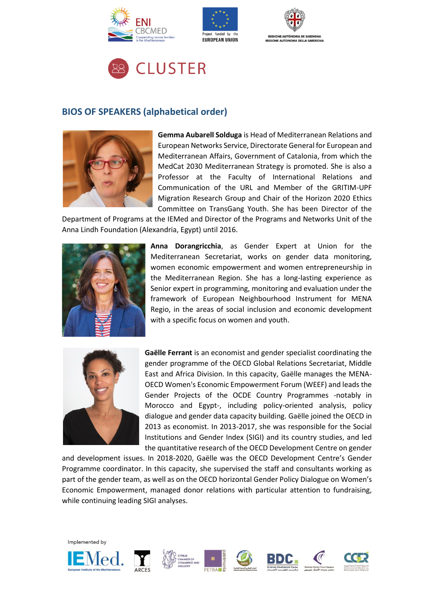







# **BIOS OF SPEAKERS (alphabetical order)**



**Gemma Aubarell Solduga** is Head of Mediterranean Relations and European Networks Service, Directorate General for European and Mediterranean Affairs, Government of Catalonia, from which the MedCat 2030 Mediterranean Strategy is promoted. She is also a Professor at the Faculty of International Relations and Communication of the URL and Member of the GRITIM-UPF Migration Research Group and Chair of the Horizon 2020 Ethics Committee on TransGang Youth. She has been Director of the

Department of Programs at the IEMed and Director of the Programs and Networks Unit of the Anna Lindh Foundation (Alexandria, Egypt) until 2016.



**Anna Dorangricchia**, as Gender Expert at Union for the Mediterranean Secretariat, works on gender data monitoring, women economic empowerment and women entrepreneurship in the Mediterranean Region. She has a long-lasting experience as Senior expert in programming, monitoring and evaluation under the framework of European Neighbourhood Instrument for MENA Regio, in the areas of social inclusion and economic development with a specific focus on women and youth.



**Gaëlle Ferrant** is an economist and gender specialist coordinating the gender programme of the OECD Global Relations Secretariat, Middle East and Africa Division. In this capacity, Gaëlle manages the MENA-OECD Women's Economic Empowerment Forum (WEEF) and leads the Gender Projects of the OCDE Country Programmes -notably in Morocco and Egypt-, including policy-oriented analysis, policy dialogue and gender data capacity building. Gaëlle joined the OECD in 2013 as economist. In 2013-2017, she was responsible for the Social Institutions and Gender Index (SIGI) and its country studies, and led the quantitative research of the OECD Development Centre on gender

and development issues. In 2018-2020, Gaëlle was the OECD Development Centre's Gender Programme coordinator. In this capacity, she supervised the staff and consultants working as part of the gender team, as well as on the OECD horizontal Gender Policy Dialogue on Women's Economic Empowerment, managed donor relations with particular attention to fundraising, while continuing leading SIGI analyses.

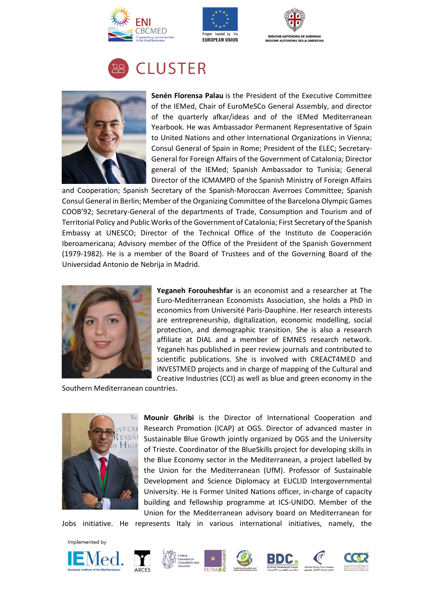





# **CLUSTER**



**Senén Florensa Palau** is the President of the Executive Committee of the IEMed, Chair of EuroMeSCo General Assembly, and director of the quarterly afkar/ideas and of the IEMed Mediterranean Yearbook. He was Ambassador Permanent Representative of Spain to United Nations and other International Organizations in Vienna; Consul General of Spain in Rome; President of the ELEC; Secretary-General for Foreign Affairs of the Government of Catalonia; Director general of the IEMed; Spanish Ambassador to Tunisia; General Director of the ICMAMPD of the Spanish Ministry of Foreign Affairs

and Cooperation; Spanish Secretary of the Spanish-Moroccan Averroes Committee; Spanish Consul General in Berlin; Member of the Organizing Committee of the Barcelona Olympic Games COOB'92; Secretary-General of the departments of Trade, Consumption and Tourism and of Territorial Policy and Public Works of the Government of Catalonia; First Secretary of the Spanish Embassy at UNESCO; Director of the Technical Office of the Instituto de Cooperación Iberoamericana; Advisory member of the Office of the President of the Spanish Government (1979-1982). He is a member of the Board of Trustees and of the Governing Board of the Universidad Antonio de Nebrija in Madrid.



**Yeganeh Forouheshfar** is an economist and a researcher at The Euro-Mediterranean Economists Association, she holds a PhD in economics from Université Paris-Dauphine. Her research interests are entrepreneurship, digitalization, economic modelling, social protection, and demographic transition. She is also a research affiliate at DIAL and a member of EMNES research network. Yeganeh has published in peer review journals and contributed to scientific publications. She is involved with CREACT4MED and INVESTMED projects and in charge of mapping of the Cultural and Creative Industries (CCI) as well as blue and green economy in the

Southern Mediterranean countries.



**Mounir Ghribi** is the Director of International Cooperation and Research Promotion (ICAP) at OGS. Director of advanced master in Sustainable Blue Growth jointly organized by OGS and the University of Trieste. Coordinator of the BlueSkills project for developing skills in the Blue Economy sector in the Mediterranean, a project labelled by the Union for the Mediterranean (UfM). Professor of Sustainable Development and Science Diplomacy at EUCLID Intergovernmental University. He is Former United Nations officer, in-charge of capacity building and fellowship programme at ICS-UNIDO. Member of the Union for the Mediterranean advisory board on Mediterranean for

Jobs initiative. He represents Italy in various international initiatives, namely, the













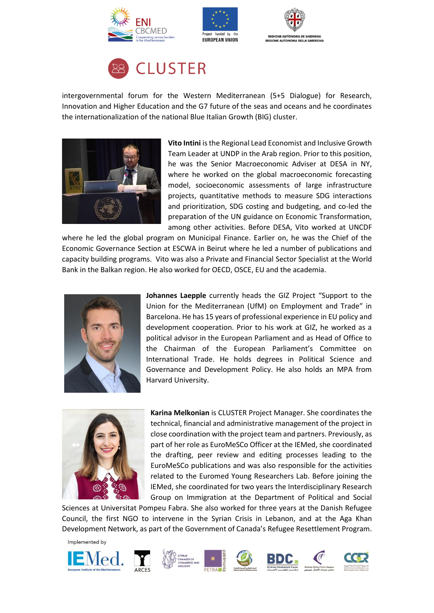







intergovernmental forum for the Western Mediterranean (5+5 Dialogue) for Research, Innovation and Higher Education and the G7 future of the seas and oceans and he coordinates the internationalization of the national Blue Italian Growth (BIG) cluster.



**Vito Intini** is the Regional Lead Economist and Inclusive Growth Team Leader at UNDP in the Arab region. Prior to this position, he was the Senior Macroeconomic Adviser at DESA in NY, where he worked on the global macroeconomic forecasting model, socioeconomic assessments of large infrastructure projects, quantitative methods to measure SDG interactions and prioritization, SDG costing and budgeting, and co-led the preparation of the UN guidance on Economic Transformation, among other activities. Before DESA, Vito worked at UNCDF

where he led the global program on Municipal Finance. Earlier on, he was the Chief of the Economic Governance Section at ESCWA in Beirut where he led a number of publications and capacity building programs. Vito was also a Private and Financial Sector Specialist at the World Bank in the Balkan region. He also worked for OECD, OSCE, EU and the academia.



**Johannes Laepple** currently heads the GIZ Project "Support to the Union for the Mediterranean (UfM) on Employment and Trade" in Barcelona. He has 15 years of professional experience in EU policy and development cooperation. Prior to his work at GIZ, he worked as a political advisor in the European Parliament and as Head of Office to the Chairman of the European Parliament's Committee on International Trade. He holds degrees in Political Science and Governance and Development Policy. He also holds an MPA from Harvard University.



**Karina Melkonian** is CLUSTER Project Manager. She coordinates the technical, financial and administrative management of the project in close coordination with the project team and partners. Previously, as part of her role as EuroMeSCo Officer at the IEMed, she coordinated the drafting, peer review and editing processes leading to the EuroMeSCo publications and was also responsible for the activities related to the Euromed Young Researchers Lab. Before joining the IEMed, she coordinated for two years the Interdisciplinary Research Group on Immigration at the Department of Political and Social

Sciences at Universitat Pompeu Fabra. She also worked for three years at the Danish Refugee Council, the first NGO to intervene in the Syrian Crisis in Lebanon, and at the Aga Khan Development Network, as part of the Government of Canada's Refugee Resettlement Program.













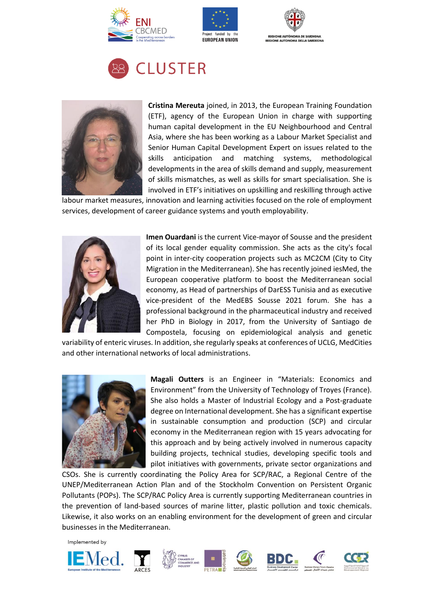









**Cristina Mereuta** joined, in 2013, the European Training Foundation (ETF), agency of the European Union in charge with supporting human capital development in the EU Neighbourhood and Central Asia, where she has been working as a Labour Market Specialist and Senior Human Capital Development Expert on issues related to the skills anticipation and matching systems, methodological developments in the area of skills demand and supply, measurement of skills mismatches, as well as skills for smart specialisation. She is involved in ETF's initiatives on upskilling and reskilling through active

labour market measures, innovation and learning activities focused on the role of employment services, development of career guidance systems and youth employability.



**Imen Ouardani** is the current Vice-mayor of Sousse and the president of its local gender equality commission. She acts as the city's focal point in inter-city cooperation projects such as MC2CM (City to City Migration in the Mediterranean). She has recently joined iesMed, the European cooperative platform to boost the Mediterranean social economy, as Head of partnerships of DarESS Tunisia and as executive vice-president of the MedEBS Sousse 2021 forum. She has a professional background in the pharmaceutical industry and received her PhD in Biology in 2017, from the University of Santiago de Compostela, focusing on epidemiological analysis and genetic

variability of enteric viruses. In addition, she regularly speaks at conferences of UCLG, MedCities and other international networks of local administrations.



**Magali Outters** is an Engineer in "Materials: Economics and Environment" from the University of Technology of Troyes (France). She also holds a Master of Industrial Ecology and a Post-graduate degree on International development. She has a significant expertise in sustainable consumption and production (SCP) and circular economy in the Mediterranean region with 15 years advocating for this approach and by being actively involved in numerous capacity building projects, technical studies, developing specific tools and pilot initiatives with governments, private sector organizations and

CSOs. She is currently coordinating the Policy Area for SCP/RAC, a Regional Centre of the UNEP/Mediterranean Action Plan and of the Stockholm Convention on Persistent Organic Pollutants (POPs). The SCP/RAC Policy Area is currently supporting Mediterranean countries in the prevention of land-based sources of marine litter, plastic pollution and toxic chemicals. Likewise, it also works on an enabling environment for the development of green and circular businesses in the Mediterranean.